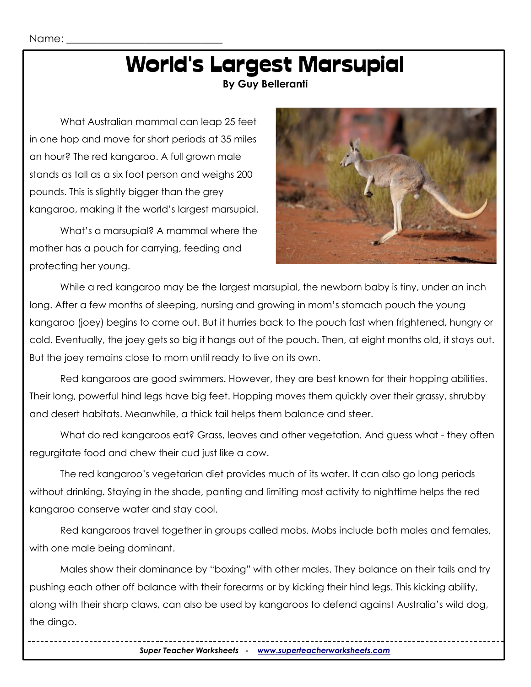# World's Largest Marsupial

**By Guy Belleranti**

What Australian mammal can leap 25 feet in one hop and move for short periods at 35 miles an hour? The red kangaroo. A full grown male stands as tall as a six foot person and weighs 200 pounds. This is slightly bigger than the grey kangaroo, making it the world's largest marsupial.

What's a marsupial? A mammal where the mother has a pouch for carrying, feeding and protecting her young.



While a red kangaroo may be the largest marsupial, the newborn baby is tiny, under an inch long. After a few months of sleeping, nursing and growing in mom's stomach pouch the young kangaroo (joey) begins to come out. But it hurries back to the pouch fast when frightened, hungry or cold. Eventually, the joey gets so big it hangs out of the pouch. Then, at eight months old, it stays out. But the joey remains close to mom until ready to live on its own.

Red kangaroos are good swimmers. However, they are best known for their hopping abilities. Their long, powerful hind legs have big feet. Hopping moves them quickly over their grassy, shrubby and desert habitats. Meanwhile, a thick tail helps them balance and steer.

What do red kangaroos eat? Grass, leaves and other vegetation. And guess what - they often regurgitate food and chew their cud just like a cow.

The red kangaroo's vegetarian diet provides much of its water. It can also go long periods without drinking. Staying in the shade, panting and limiting most activity to nighttime helps the red kangaroo conserve water and stay cool.

Red kangaroos travel together in groups called mobs. Mobs include both males and females, with one male being dominant.

Males show their dominance by "boxing" with other males. They balance on their tails and try pushing each other off balance with their forearms or by kicking their hind legs. This kicking ability, along with their sharp claws, can also be used by kangaroos to defend against Australia's wild dog, the dingo.

*Super Teacher Worksheets - [www.superteacherworksheets.com](http://www.superteacherworksheets.com/)*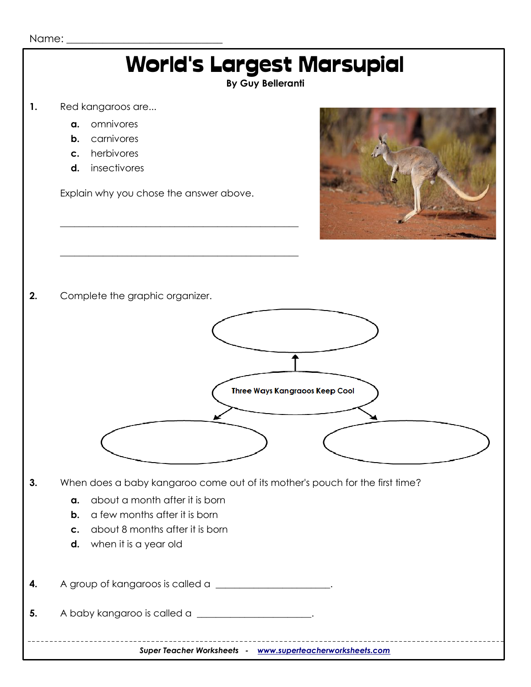

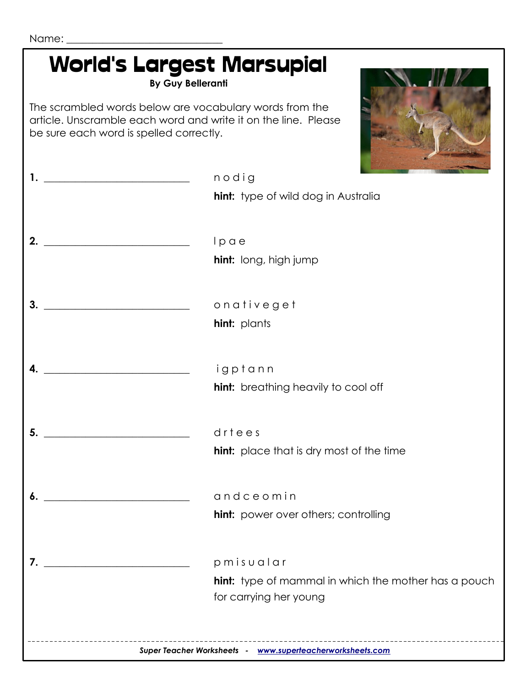| <b>World's Largest Marsupial</b><br><b>By Guy Belleranti</b>                                                                                                         |                                                             |
|----------------------------------------------------------------------------------------------------------------------------------------------------------------------|-------------------------------------------------------------|
| The scrambled words below are vocabulary words from the<br>article. Unscramble each word and write it on the line. Please<br>be sure each word is spelled correctly. |                                                             |
| <u> 1989 - Johann John Stein, markin f</u>                                                                                                                           | nodig                                                       |
|                                                                                                                                                                      | <b>hint:</b> type of wild dog in Australia                  |
| 2.                                                                                                                                                                   | lpae                                                        |
|                                                                                                                                                                      | hint: long, high jump                                       |
| 3.                                                                                                                                                                   | onativeget                                                  |
|                                                                                                                                                                      | <b>hint:</b> plants                                         |
|                                                                                                                                                                      | igptann                                                     |
|                                                                                                                                                                      | <b>hint:</b> breathing heavily to cool off                  |
| 5.                                                                                                                                                                   | drtees                                                      |
|                                                                                                                                                                      | <b>hint:</b> place that is dry most of the time             |
| 6.                                                                                                                                                                   | gndceomin                                                   |
|                                                                                                                                                                      | <b>hint:</b> power over others; controlling                 |
| 7.                                                                                                                                                                   | pmisualar                                                   |
|                                                                                                                                                                      | <b>hint:</b> type of mammal in which the mother has a pouch |
|                                                                                                                                                                      | for carrying her young                                      |
|                                                                                                                                                                      | Super Teacher Worksheets - www.superteacherworksheets.com   |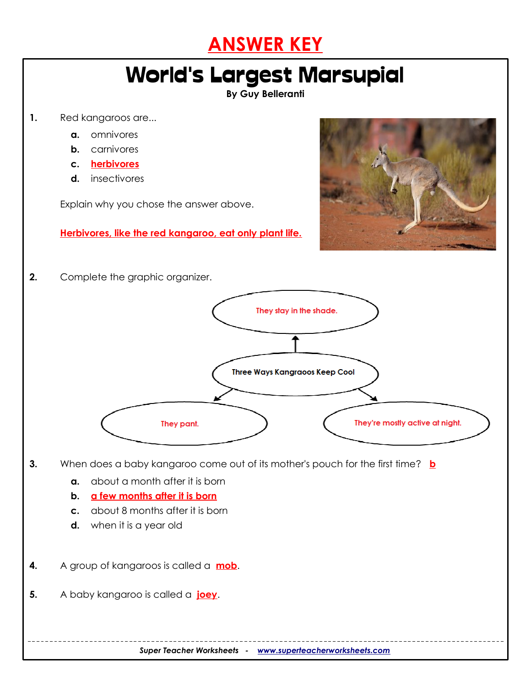

### World's Largest Marsupial

#### **By Guy Belleranti**

- **1.** Red kangaroos are...
	- **a.** omnivores
	- **b.** carnivores
	- **c. herbivores**
	- **d.** insectivores

Explain why you chose the answer above.

**Herbivores, like the red kangaroo, eat only plant life.**



**2.** Complete the graphic organizer.



- **3.** When does a baby kangaroo come out of its mother's pouch for the first time? **b** 
	- **a.** about a month after it is born
	- **b. a few months after it is born**
	- **c.** about 8 months after it is born
	- **d.** when it is a year old
- **4.** A group of kangaroos is called a **mob**.
- **5.** A baby kangaroo is called a **joey**.

*Super Teacher Worksheets - [www.superteacherworksheets.com](http://www.superteacherworksheets.com/)*